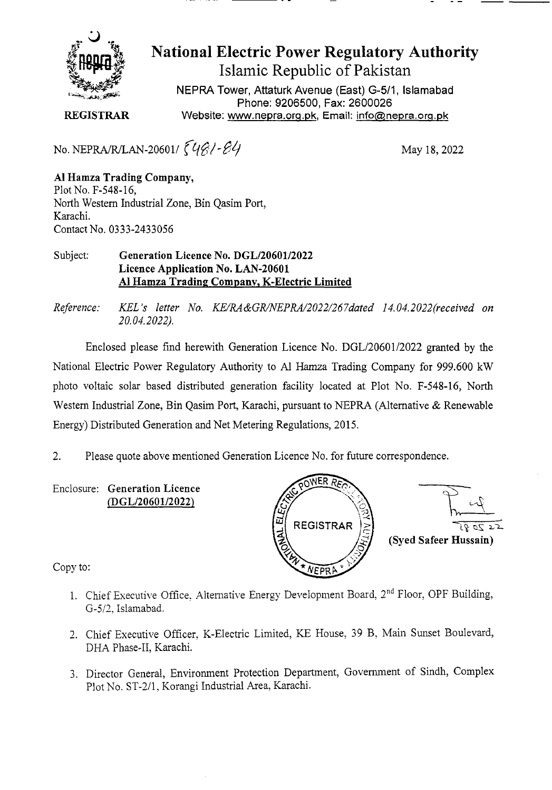

# **National Electric Power Regulatory Authority Islamic Republic of Pakistan**

**NEPRA Tower, Attaturk Avenue (East) G-511, Islamabad Phone: 9206500, Fax: 2600026 REGISTRAR** Website: www.nepra.org.pk, Email: info@nepra.org.pk

No. NEPRA/R/LAN-20601/  $\left\{4\frac{\beta}{l} - \frac{\beta}{l}\right\}$  May 18, 2022

**Al Hamza Trading Company,**  Plot No. F-548-16, North Western Industrial Zone, Bin Qasim Port, Karachi. Contact No. 0333-2433056

#### Subject: **Generation Licence No. DGL/20601/2022 Licence Application No. LAN-20601 Al Hamza Trading Company, K-Electric Limited**

*Reference: KEL 's letter No. KE/RA&GR/NEPRA/2022/267dated 14.04. 2022('received on 20.04.2022).* 

Enclosed please find herewith Generation Licence No. DGL/20601/2022 granted by the National Electric Power Regulatory Authority to Al Hamza Trading Company for 999.600 kW photo voltaic solar based distributed generation facility located at Plot No. F-548-16, North Western Industrial Zone, Bin Qasim Port, Karachi, pursuant to NEPRA (Alternative & Renewable Energy) Distributed Generation and Net Metering Regulations, 2015.

2. Please quote above mentioned Generation Licence No. for future correspondence.

Enclosure: **Generation Licence (DGL/20601/2022)** 



Copy to:

- 1. Chief Executive Office, Alternative Energy Development Board, 2<sup>nd</sup> Floor, OPF Building, G-5/2. Islamabad.
- 2. Chief Executive Officer. K-Electric Limited, KE House, 39 B, Main Sunset Boulevard, DHA Phase-Il, Karachi.
- 3. Director General, Environment Protection Department, Government of Sindh, Complex Plot No. ST-2/1, Korangi Industrial Area, Karachi.